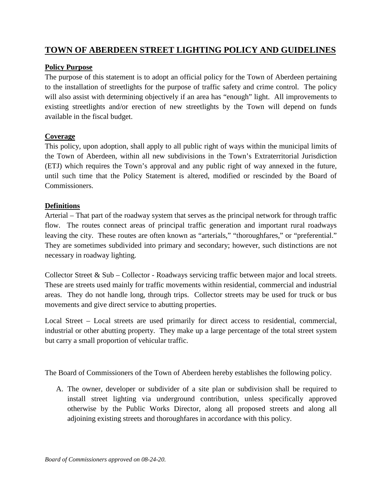## **TOWN OF ABERDEEN STREET LIGHTING POLICY AND GUIDELINES**

## **Policy Purpose**

The purpose of this statement is to adopt an official policy for the Town of Aberdeen pertaining to the installation of streetlights for the purpose of traffic safety and crime control. The policy will also assist with determining objectively if an area has "enough" light. All improvements to existing streetlights and/or erection of new streetlights by the Town will depend on funds available in the fiscal budget.

## **Coverage**

This policy, upon adoption, shall apply to all public right of ways within the municipal limits of the Town of Aberdeen, within all new subdivisions in the Town's Extraterritorial Jurisdiction (ETJ) which requires the Town's approval and any public right of way annexed in the future, until such time that the Policy Statement is altered, modified or rescinded by the Board of Commissioners.

## **Definitions**

Arterial – That part of the roadway system that serves as the principal network for through traffic flow. The routes connect areas of principal traffic generation and important rural roadways leaving the city. These routes are often known as "arterials," "thoroughfares," or "preferential." They are sometimes subdivided into primary and secondary; however, such distinctions are not necessary in roadway lighting.

Collector Street & Sub – Collector - Roadways servicing traffic between major and local streets. These are streets used mainly for traffic movements within residential, commercial and industrial areas. They do not handle long, through trips. Collector streets may be used for truck or bus movements and give direct service to abutting properties.

Local Street – Local streets are used primarily for direct access to residential, commercial, industrial or other abutting property. They make up a large percentage of the total street system but carry a small proportion of vehicular traffic.

The Board of Commissioners of the Town of Aberdeen hereby establishes the following policy.

A. The owner, developer or subdivider of a site plan or subdivision shall be required to install street lighting via underground contribution, unless specifically approved otherwise by the Public Works Director, along all proposed streets and along all adjoining existing streets and thoroughfares in accordance with this policy.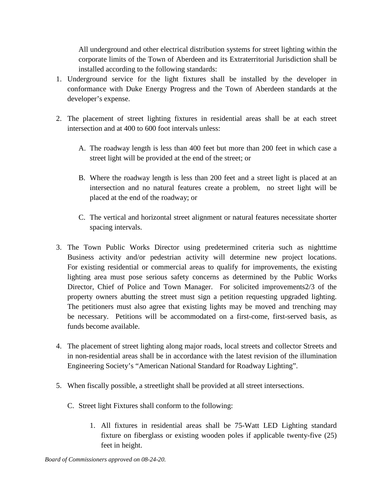All underground and other electrical distribution systems for street lighting within the corporate limits of the Town of Aberdeen and its Extraterritorial Jurisdiction shall be installed according to the following standards:

- 1. Underground service for the light fixtures shall be installed by the developer in conformance with Duke Energy Progress and the Town of Aberdeen standards at the developer's expense.
- 2. The placement of street lighting fixtures in residential areas shall be at each street intersection and at 400 to 600 foot intervals unless:
	- A. The roadway length is less than 400 feet but more than 200 feet in which case a street light will be provided at the end of the street; or
	- B. Where the roadway length is less than 200 feet and a street light is placed at an intersection and no natural features create a problem, no street light will be placed at the end of the roadway; or
	- C. The vertical and horizontal street alignment or natural features necessitate shorter spacing intervals.
- 3. The Town Public Works Director using predetermined criteria such as nighttime Business activity and/or pedestrian activity will determine new project locations. For existing residential or commercial areas to qualify for improvements, the existing lighting area must pose serious safety concerns as determined by the Public Works Director, Chief of Police and Town Manager. For solicited improvements2/3 of the property owners abutting the street must sign a petition requesting upgraded lighting. The petitioners must also agree that existing lights may be moved and trenching may be necessary. Petitions will be accommodated on a first-come, first-served basis, as funds become available.
- 4. The placement of street lighting along major roads, local streets and collector Streets and in non-residential areas shall be in accordance with the latest revision of the illumination Engineering Society's "American National Standard for Roadway Lighting".
- 5. When fiscally possible, a streetlight shall be provided at all street intersections.
	- C. Street light Fixtures shall conform to the following:
		- 1. All fixtures in residential areas shall be 75-Watt LED Lighting standard fixture on fiberglass or existing wooden poles if applicable twenty-five (25) feet in height.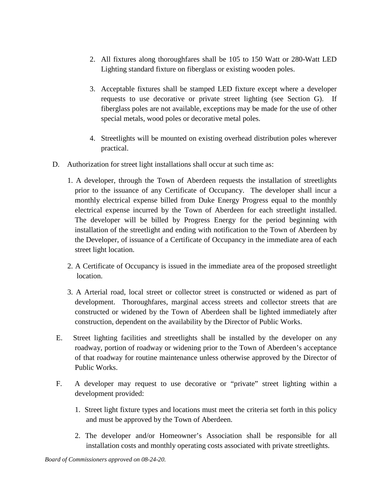- 2. All fixtures along thoroughfares shall be 105 to 150 Watt or 280-Watt LED Lighting standard fixture on fiberglass or existing wooden poles.
- 3. Acceptable fixtures shall be stamped LED fixture except where a developer requests to use decorative or private street lighting (see Section G). If fiberglass poles are not available, exceptions may be made for the use of other special metals, wood poles or decorative metal poles.
- 4. Streetlights will be mounted on existing overhead distribution poles wherever practical.
- D. Authorization for street light installations shall occur at such time as:
	- 1. A developer, through the Town of Aberdeen requests the installation of streetlights prior to the issuance of any Certificate of Occupancy. The developer shall incur a monthly electrical expense billed from Duke Energy Progress equal to the monthly electrical expense incurred by the Town of Aberdeen for each streetlight installed. The developer will be billed by Progress Energy for the period beginning with installation of the streetlight and ending with notification to the Town of Aberdeen by the Developer, of issuance of a Certificate of Occupancy in the immediate area of each street light location.
	- 2. A Certificate of Occupancy is issued in the immediate area of the proposed streetlight location.
	- 3. A Arterial road, local street or collector street is constructed or widened as part of development. Thoroughfares, marginal access streets and collector streets that are constructed or widened by the Town of Aberdeen shall be lighted immediately after construction, dependent on the availability by the Director of Public Works.
- E. Street lighting facilities and streetlights shall be installed by the developer on any roadway, portion of roadway or widening prior to the Town of Aberdeen's acceptance of that roadway for routine maintenance unless otherwise approved by the Director of Public Works.
- F. A developer may request to use decorative or "private" street lighting within a development provided:
	- 1. Street light fixture types and locations must meet the criteria set forth in this policy and must be approved by the Town of Aberdeen.
	- 2. The developer and/or Homeowner's Association shall be responsible for all installation costs and monthly operating costs associated with private streetlights.